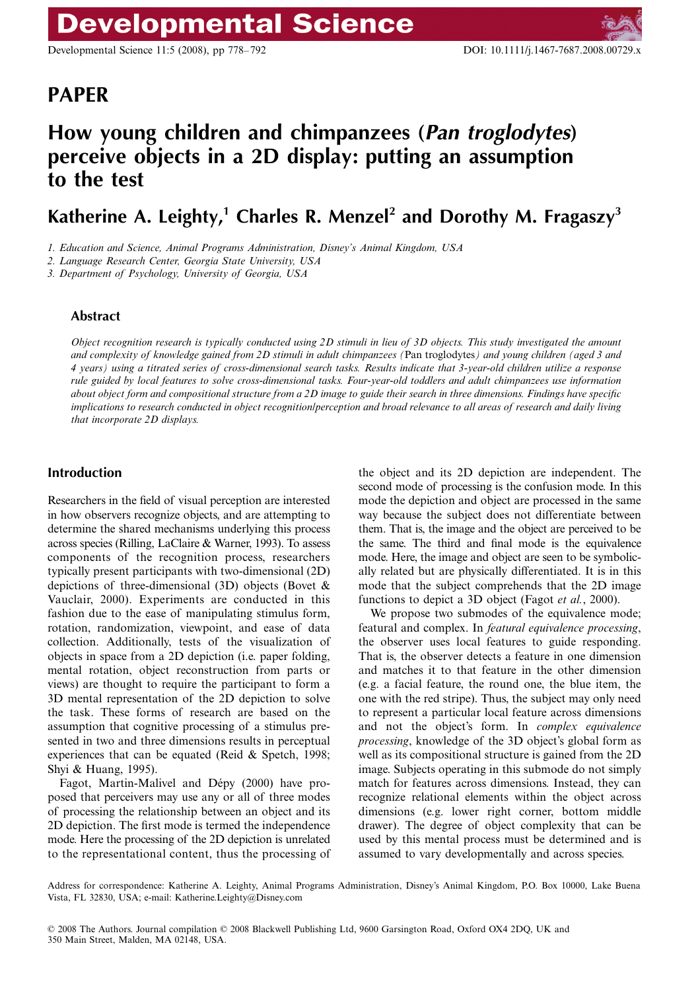Developmental Science 11:5 (2008), pp 778–792 DOI: 10.1111/j.1467-7687.2008.00729.x

# Blackwell Publishing Ltd **PAPER**

# **How young children and chimpanzees (***Pan troglodytes***) perceive objects in a 2D display: putting an assumption to the test**

Katherine A. Leighty,<sup>1</sup> Charles R. Menzel<sup>2</sup> and Dorothy M. Fragaszy<sup>3</sup>

*1. Education and Science, Animal Programs Administration, Disney's Animal Kingdom, USA*

*2. Language Research Center, Georgia State University, USA*

*3. Department of Psychology, University of Georgia, USA*

# **Abstract**

*Object recognition research is typically conducted using 2D stimuli in lieu of 3D objects. This study investigated the amount and complexity of knowledge gained from 2D stimuli in adult chimpanzees (*Pan troglodytes*) and young children (aged 3 and 4 years) using a titrated series of cross-dimensional search tasks. Results indicate that 3-year-old children utilize a response rule guided by local features to solve cross-dimensional tasks. Four-year-old toddlers and adult chimpanzees use information about object form and compositional structure from a 2D image to guide their search in three dimensions. Findings have specific implications to research conducted in object recognition/perception and broad relevance to all areas of research and daily living that incorporate 2D displays.*

# **Introduction**

Researchers in the field of visual perception are interested in how observers recognize objects, and are attempting to determine the shared mechanisms underlying this process across species (Rilling, LaClaire & Warner, 1993). To assess components of the recognition process, researchers typically present participants with two-dimensional (2D) depictions of three-dimensional (3D) objects (Bovet & Vauclair, 2000). Experiments are conducted in this fashion due to the ease of manipulating stimulus form, rotation, randomization, viewpoint, and ease of data collection. Additionally, tests of the visualization of objects in space from a 2D depiction (i.e. paper folding, mental rotation, object reconstruction from parts or views) are thought to require the participant to form a 3D mental representation of the 2D depiction to solve the task. These forms of research are based on the assumption that cognitive processing of a stimulus presented in two and three dimensions results in perceptual experiences that can be equated (Reid & Spetch, 1998; Shyi & Huang, 1995).

Fagot, Martin-Malivel and Dépy (2000) have proposed that perceivers may use any or all of three modes of processing the relationship between an object and its 2D depiction. The first mode is termed the independence mode. Here the processing of the 2D depiction is unrelated to the representational content, thus the processing of

the object and its 2D depiction are independent. The second mode of processing is the confusion mode. In this mode the depiction and object are processed in the same way because the subject does not differentiate between them. That is, the image and the object are perceived to be the same. The third and final mode is the equivalence mode. Here, the image and object are seen to be symbolically related but are physically differentiated. It is in this mode that the subject comprehends that the 2D image functions to depict a 3D object (Fagot *et al.*, 2000).

We propose two submodes of the equivalence mode; featural and complex. In *featural equivalence processing*, the observer uses local features to guide responding. That is, the observer detects a feature in one dimension and matches it to that feature in the other dimension (e.g. a facial feature, the round one, the blue item, the one with the red stripe). Thus, the subject may only need to represent a particular local feature across dimensions and not the object's form. In *complex equivalence processing*, knowledge of the 3D object's global form as well as its compositional structure is gained from the 2D image. Subjects operating in this submode do not simply match for features across dimensions. Instead, they can recognize relational elements within the object across dimensions (e.g. lower right corner, bottom middle drawer). The degree of object complexity that can be used by this mental process must be determined and is assumed to vary developmentally and across species.

Address for correspondence: Katherine A. Leighty, Animal Programs Administration, Disney's Animal Kingdom, P.O. Box 10000, Lake Buena Vista, FL 32830, USA; e-mail: Katherine.Leighty@Disney.com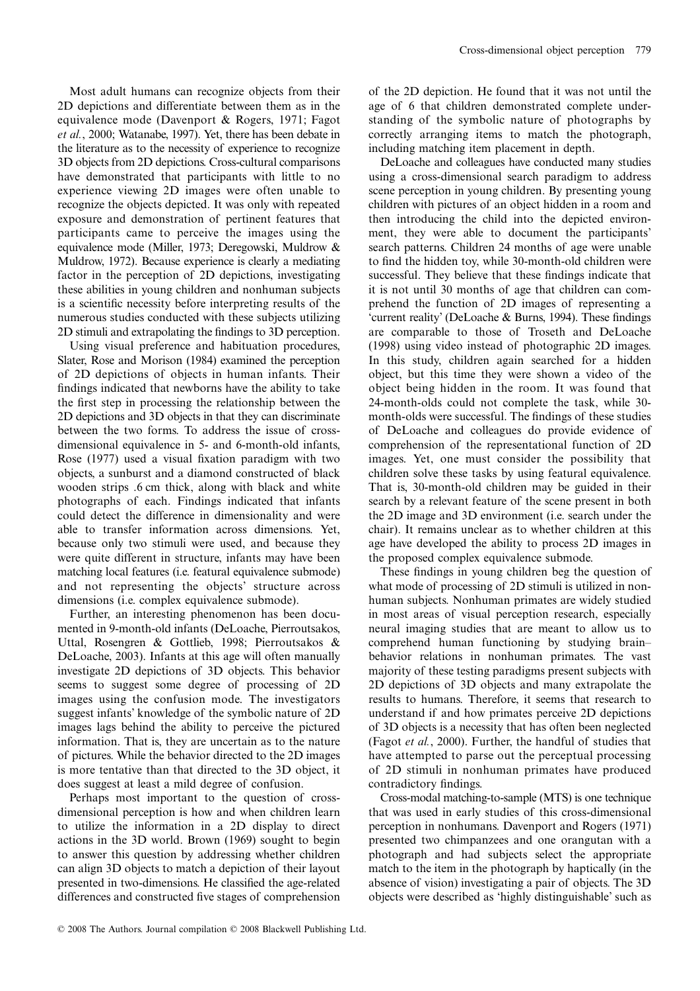Most adult humans can recognize objects from their 2D depictions and differentiate between them as in the equivalence mode (Davenport & Rogers, 1971; Fagot *et al.*, 2000; Watanabe, 1997). Yet, there has been debate in the literature as to the necessity of experience to recognize 3D objects from 2D depictions. Cross-cultural comparisons have demonstrated that participants with little to no experience viewing 2D images were often unable to recognize the objects depicted. It was only with repeated exposure and demonstration of pertinent features that participants came to perceive the images using the equivalence mode (Miller, 1973; Deregowski, Muldrow & Muldrow, 1972). Because experience is clearly a mediating factor in the perception of 2D depictions, investigating these abilities in young children and nonhuman subjects is a scientific necessity before interpreting results of the numerous studies conducted with these subjects utilizing 2D stimuli and extrapolating the findings to 3D perception.

Using visual preference and habituation procedures, Slater, Rose and Morison (1984) examined the perception of 2D depictions of objects in human infants. Their findings indicated that newborns have the ability to take the first step in processing the relationship between the 2D depictions and 3D objects in that they can discriminate between the two forms. To address the issue of crossdimensional equivalence in 5- and 6-month-old infants, Rose (1977) used a visual fixation paradigm with two objects, a sunburst and a diamond constructed of black wooden strips .6 cm thick, along with black and white photographs of each. Findings indicated that infants could detect the difference in dimensionality and were able to transfer information across dimensions. Yet, because only two stimuli were used, and because they were quite different in structure, infants may have been matching local features (i.e. featural equivalence submode) and not representing the objects' structure across dimensions (i.e. complex equivalence submode).

Further, an interesting phenomenon has been documented in 9-month-old infants (DeLoache, Pierroutsakos, Uttal, Rosengren & Gottlieb, 1998; Pierroutsakos & DeLoache, 2003). Infants at this age will often manually investigate 2D depictions of 3D objects. This behavior seems to suggest some degree of processing of 2D images using the confusion mode. The investigators suggest infants' knowledge of the symbolic nature of 2D images lags behind the ability to perceive the pictured information. That is, they are uncertain as to the nature of pictures. While the behavior directed to the 2D images is more tentative than that directed to the 3D object, it does suggest at least a mild degree of confusion.

Perhaps most important to the question of crossdimensional perception is how and when children learn to utilize the information in a 2D display to direct actions in the 3D world. Brown (1969) sought to begin to answer this question by addressing whether children can align 3D objects to match a depiction of their layout presented in two-dimensions. He classified the age-related differences and constructed five stages of comprehension of the 2D depiction. He found that it was not until the age of 6 that children demonstrated complete understanding of the symbolic nature of photographs by correctly arranging items to match the photograph, including matching item placement in depth.

DeLoache and colleagues have conducted many studies using a cross-dimensional search paradigm to address scene perception in young children. By presenting young children with pictures of an object hidden in a room and then introducing the child into the depicted environment, they were able to document the participants' search patterns. Children 24 months of age were unable to find the hidden toy, while 30-month-old children were successful. They believe that these findings indicate that it is not until 30 months of age that children can comprehend the function of 2D images of representing a 'current reality' (DeLoache & Burns, 1994). These findings are comparable to those of Troseth and DeLoache (1998) using video instead of photographic 2D images. In this study, children again searched for a hidden object, but this time they were shown a video of the object being hidden in the room. It was found that 24-month-olds could not complete the task, while 30 month-olds were successful. The findings of these studies of DeLoache and colleagues do provide evidence of comprehension of the representational function of 2D images. Yet, one must consider the possibility that children solve these tasks by using featural equivalence. That is, 30-month-old children may be guided in their search by a relevant feature of the scene present in both the 2D image and 3D environment (i.e. search under the chair). It remains unclear as to whether children at this age have developed the ability to process 2D images in the proposed complex equivalence submode.

These findings in young children beg the question of what mode of processing of 2D stimuli is utilized in nonhuman subjects. Nonhuman primates are widely studied in most areas of visual perception research, especially neural imaging studies that are meant to allow us to comprehend human functioning by studying brain– behavior relations in nonhuman primates. The vast majority of these testing paradigms present subjects with 2D depictions of 3D objects and many extrapolate the results to humans. Therefore, it seems that research to understand if and how primates perceive 2D depictions of 3D objects is a necessity that has often been neglected (Fagot *et al.*, 2000). Further, the handful of studies that have attempted to parse out the perceptual processing of 2D stimuli in nonhuman primates have produced contradictory findings.

Cross-modal matching-to-sample (MTS) is one technique that was used in early studies of this cross-dimensional perception in nonhumans. Davenport and Rogers (1971) presented two chimpanzees and one orangutan with a photograph and had subjects select the appropriate match to the item in the photograph by haptically (in the absence of vision) investigating a pair of objects. The 3D objects were described as 'highly distinguishable' such as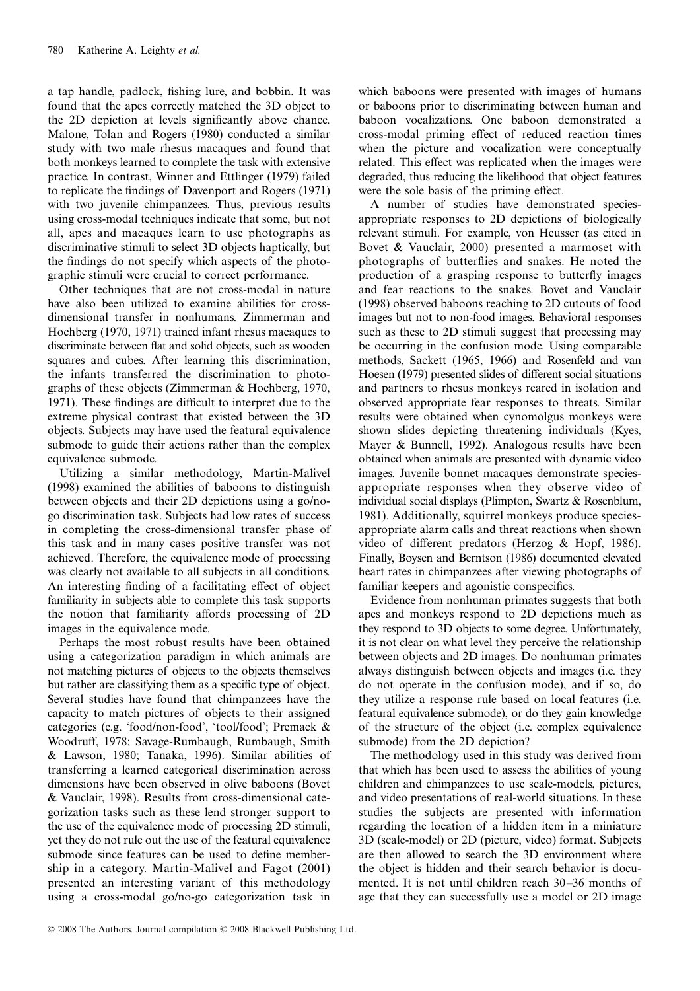a tap handle, padlock, fishing lure, and bobbin. It was found that the apes correctly matched the 3D object to the 2D depiction at levels significantly above chance. Malone, Tolan and Rogers (1980) conducted a similar study with two male rhesus macaques and found that both monkeys learned to complete the task with extensive practice. In contrast, Winner and Ettlinger (1979) failed to replicate the findings of Davenport and Rogers (1971) with two juvenile chimpanzees. Thus, previous results using cross-modal techniques indicate that some, but not all, apes and macaques learn to use photographs as discriminative stimuli to select 3D objects haptically, but the findings do not specify which aspects of the photographic stimuli were crucial to correct performance.

Other techniques that are not cross-modal in nature have also been utilized to examine abilities for crossdimensional transfer in nonhumans. Zimmerman and Hochberg (1970, 1971) trained infant rhesus macaques to discriminate between flat and solid objects, such as wooden squares and cubes. After learning this discrimination, the infants transferred the discrimination to photographs of these objects (Zimmerman & Hochberg, 1970, 1971). These findings are difficult to interpret due to the extreme physical contrast that existed between the 3D objects. Subjects may have used the featural equivalence submode to guide their actions rather than the complex equivalence submode.

Utilizing a similar methodology, Martin-Malivel (1998) examined the abilities of baboons to distinguish between objects and their 2D depictions using a go/nogo discrimination task. Subjects had low rates of success in completing the cross-dimensional transfer phase of this task and in many cases positive transfer was not achieved. Therefore, the equivalence mode of processing was clearly not available to all subjects in all conditions. An interesting finding of a facilitating effect of object familiarity in subjects able to complete this task supports the notion that familiarity affords processing of 2D images in the equivalence mode.

Perhaps the most robust results have been obtained using a categorization paradigm in which animals are not matching pictures of objects to the objects themselves but rather are classifying them as a specific type of object. Several studies have found that chimpanzees have the capacity to match pictures of objects to their assigned categories (e.g. 'food/non-food', 'tool/food'; Premack & Woodruff, 1978; Savage-Rumbaugh, Rumbaugh, Smith & Lawson, 1980; Tanaka, 1996). Similar abilities of transferring a learned categorical discrimination across dimensions have been observed in olive baboons (Bovet & Vauclair, 1998). Results from cross-dimensional categorization tasks such as these lend stronger support to the use of the equivalence mode of processing 2D stimuli, yet they do not rule out the use of the featural equivalence submode since features can be used to define membership in a category. Martin-Malivel and Fagot (2001) presented an interesting variant of this methodology using a cross-modal go/no-go categorization task in

which baboons were presented with images of humans or baboons prior to discriminating between human and baboon vocalizations. One baboon demonstrated a cross-modal priming effect of reduced reaction times when the picture and vocalization were conceptually related. This effect was replicated when the images were degraded, thus reducing the likelihood that object features were the sole basis of the priming effect.

A number of studies have demonstrated speciesappropriate responses to 2D depictions of biologically relevant stimuli. For example, von Heusser (as cited in Bovet & Vauclair, 2000) presented a marmoset with photographs of butterflies and snakes. He noted the production of a grasping response to butterfly images and fear reactions to the snakes. Bovet and Vauclair (1998) observed baboons reaching to 2D cutouts of food images but not to non-food images. Behavioral responses such as these to 2D stimuli suggest that processing may be occurring in the confusion mode. Using comparable methods, Sackett (1965, 1966) and Rosenfeld and van Hoesen (1979) presented slides of different social situations and partners to rhesus monkeys reared in isolation and observed appropriate fear responses to threats. Similar results were obtained when cynomolgus monkeys were shown slides depicting threatening individuals (Kyes, Mayer & Bunnell, 1992). Analogous results have been obtained when animals are presented with dynamic video images. Juvenile bonnet macaques demonstrate speciesappropriate responses when they observe video of individual social displays (Plimpton, Swartz & Rosenblum, 1981). Additionally, squirrel monkeys produce speciesappropriate alarm calls and threat reactions when shown video of different predators (Herzog & Hopf, 1986). Finally, Boysen and Berntson (1986) documented elevated heart rates in chimpanzees after viewing photographs of familiar keepers and agonistic conspecifics.

Evidence from nonhuman primates suggests that both apes and monkeys respond to 2D depictions much as they respond to 3D objects to some degree. Unfortunately, it is not clear on what level they perceive the relationship between objects and 2D images. Do nonhuman primates always distinguish between objects and images (i.e. they do not operate in the confusion mode), and if so, do they utilize a response rule based on local features (i.e. featural equivalence submode), or do they gain knowledge of the structure of the object (i.e. complex equivalence submode) from the 2D depiction?

The methodology used in this study was derived from that which has been used to assess the abilities of young children and chimpanzees to use scale-models, pictures, and video presentations of real-world situations. In these studies the subjects are presented with information regarding the location of a hidden item in a miniature 3D (scale-model) or 2D (picture, video) format. Subjects are then allowed to search the 3D environment where the object is hidden and their search behavior is documented. It is not until children reach 30–36 months of age that they can successfully use a model or 2D image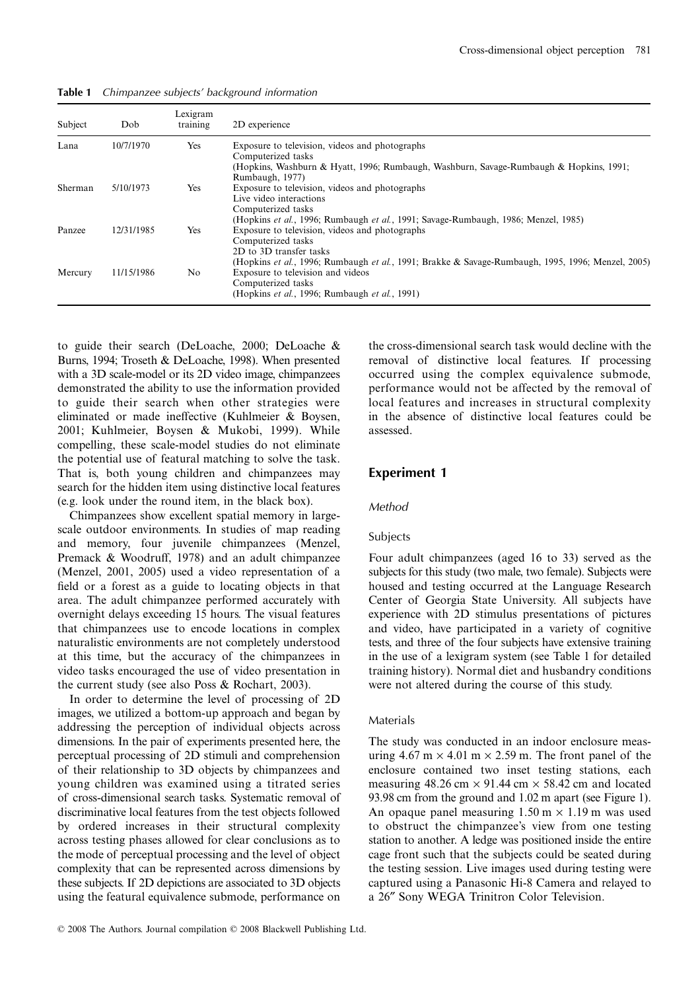| Subject | Dob        | Lexigram<br>training | 2D experience                                                                                     |
|---------|------------|----------------------|---------------------------------------------------------------------------------------------------|
| Lana    | 10/7/1970  | <b>Yes</b>           | Exposure to television, videos and photographs<br>Computerized tasks                              |
|         |            |                      | (Hopkins, Washburn & Hyatt, 1996; Rumbaugh, Washburn, Savage-Rumbaugh & Hopkins, 1991;            |
|         |            |                      | Rumbaugh, 1977)                                                                                   |
| Sherman | 5/10/1973  | Yes                  | Exposure to television, videos and photographs                                                    |
|         |            |                      | Live video interactions                                                                           |
|         |            |                      | Computerized tasks                                                                                |
|         |            |                      | (Hopkins et al., 1996; Rumbaugh et al., 1991; Savage-Rumbaugh, 1986; Menzel, 1985)                |
| Panzee  | 12/31/1985 | Yes                  | Exposure to television, videos and photographs                                                    |
|         |            |                      | Computerized tasks                                                                                |
|         |            |                      | 2D to 3D transfer tasks                                                                           |
|         |            |                      | (Hopkins et al., 1996; Rumbaugh et al., 1991; Brakke & Savage-Rumbaugh, 1995, 1996; Menzel, 2005) |
| Mercury | 11/15/1986 | No                   | Exposure to television and videos                                                                 |
|         |            |                      | Computerized tasks                                                                                |
|         |            |                      | (Hopkins et al., 1996; Rumbaugh et al., 1991)                                                     |

**Table 1** *Chimpanzee subjects' background information*

to guide their search (DeLoache, 2000; DeLoache & Burns, 1994; Troseth & DeLoache, 1998). When presented with a 3D scale-model or its 2D video image, chimpanzees demonstrated the ability to use the information provided to guide their search when other strategies were eliminated or made ineffective (Kuhlmeier & Boysen, 2001; Kuhlmeier, Boysen & Mukobi, 1999). While compelling, these scale-model studies do not eliminate the potential use of featural matching to solve the task. That is, both young children and chimpanzees may search for the hidden item using distinctive local features (e.g. look under the round item, in the black box).

Chimpanzees show excellent spatial memory in largescale outdoor environments. In studies of map reading and memory, four juvenile chimpanzees (Menzel, Premack & Woodruff, 1978) and an adult chimpanzee (Menzel, 2001, 2005) used a video representation of a field or a forest as a guide to locating objects in that area. The adult chimpanzee performed accurately with overnight delays exceeding 15 hours. The visual features that chimpanzees use to encode locations in complex naturalistic environments are not completely understood at this time, but the accuracy of the chimpanzees in video tasks encouraged the use of video presentation in the current study (see also Poss & Rochart, 2003).

In order to determine the level of processing of 2D images, we utilized a bottom-up approach and began by addressing the perception of individual objects across dimensions. In the pair of experiments presented here, the perceptual processing of 2D stimuli and comprehension of their relationship to 3D objects by chimpanzees and young children was examined using a titrated series of cross-dimensional search tasks. Systematic removal of discriminative local features from the test objects followed by ordered increases in their structural complexity across testing phases allowed for clear conclusions as to the mode of perceptual processing and the level of object complexity that can be represented across dimensions by these subjects. If 2D depictions are associated to 3D objects using the featural equivalence submode, performance on

the cross-dimensional search task would decline with the removal of distinctive local features. If processing occurred using the complex equivalence submode, performance would not be affected by the removal of local features and increases in structural complexity in the absence of distinctive local features could be assessed.

# **Experiment 1**

# *Method*

# Subjects

Four adult chimpanzees (aged 16 to 33) served as the subjects for this study (two male, two female). Subjects were housed and testing occurred at the Language Research Center of Georgia State University. All subjects have experience with 2D stimulus presentations of pictures and video, have participated in a variety of cognitive tests, and three of the four subjects have extensive training in the use of a lexigram system (see Table 1 for detailed training history). Normal diet and husbandry conditions were not altered during the course of this study.

#### Materials

The study was conducted in an indoor enclosure measuring  $4.67 \text{ m} \times 4.01 \text{ m} \times 2.59 \text{ m}$ . The front panel of the enclosure contained two inset testing stations, each measuring  $48.26 \text{ cm} \times 91.44 \text{ cm} \times 58.42 \text{ cm}$  and located 93.98 cm from the ground and 1.02 m apart (see Figure 1). An opaque panel measuring  $1.50 \text{ m} \times 1.19 \text{ m}$  was used to obstruct the chimpanzee's view from one testing station to another. A ledge was positioned inside the entire cage front such that the subjects could be seated during the testing session. Live images used during testing were captured using a Panasonic Hi-8 Camera and relayed to a 26″ Sony WEGA Trinitron Color Television.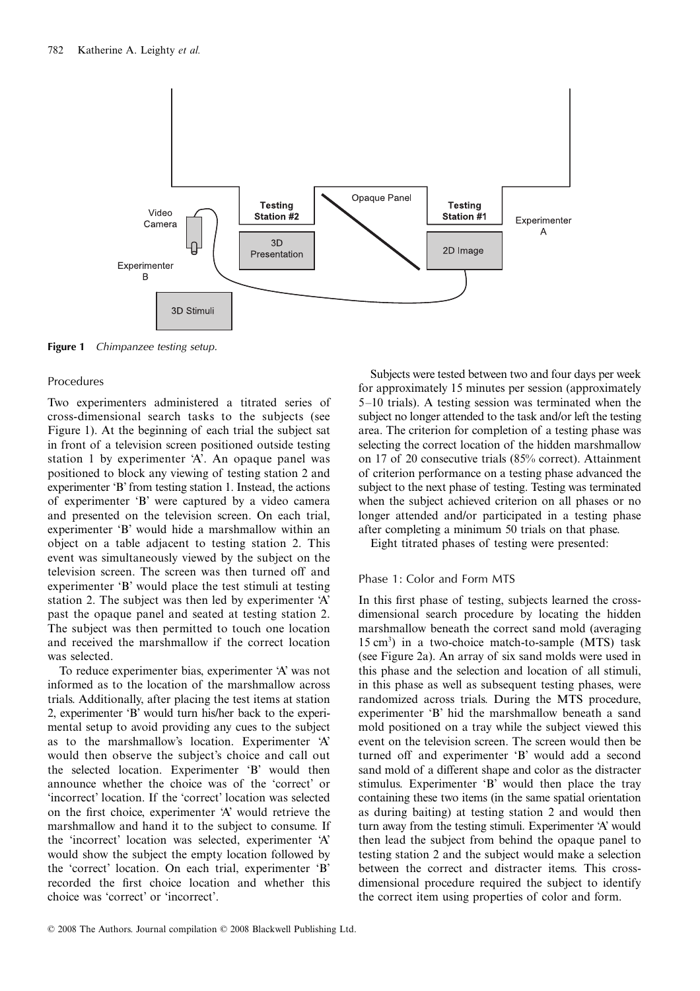

**Figure 1** *Chimpanzee testing setup.*

## Procedures

Two experimenters administered a titrated series of cross-dimensional search tasks to the subjects (see Figure 1). At the beginning of each trial the subject sat in front of a television screen positioned outside testing station 1 by experimenter 'A'. An opaque panel was positioned to block any viewing of testing station 2 and experimenter 'B' from testing station 1. Instead, the actions of experimenter 'B' were captured by a video camera and presented on the television screen. On each trial, experimenter 'B' would hide a marshmallow within an object on a table adjacent to testing station 2. This event was simultaneously viewed by the subject on the television screen. The screen was then turned off and experimenter 'B' would place the test stimuli at testing station 2. The subject was then led by experimenter 'A' past the opaque panel and seated at testing station 2. The subject was then permitted to touch one location and received the marshmallow if the correct location was selected.

To reduce experimenter bias, experimenter 'A' was not informed as to the location of the marshmallow across trials. Additionally, after placing the test items at station 2, experimenter 'B' would turn his/her back to the experimental setup to avoid providing any cues to the subject as to the marshmallow's location. Experimenter 'A' would then observe the subject's choice and call out the selected location. Experimenter 'B' would then announce whether the choice was of the 'correct' or 'incorrect' location. If the 'correct' location was selected on the first choice, experimenter 'A' would retrieve the marshmallow and hand it to the subject to consume. If the 'incorrect' location was selected, experimenter 'A' would show the subject the empty location followed by the 'correct' location. On each trial, experimenter 'B' recorded the first choice location and whether this choice was 'correct' or 'incorrect'.

Subjects were tested between two and four days per week for approximately 15 minutes per session (approximately 5–10 trials). A testing session was terminated when the subject no longer attended to the task and/or left the testing area. The criterion for completion of a testing phase was selecting the correct location of the hidden marshmallow on 17 of 20 consecutive trials (85% correct). Attainment of criterion performance on a testing phase advanced the subject to the next phase of testing. Testing was terminated when the subject achieved criterion on all phases or no longer attended and/or participated in a testing phase after completing a minimum 50 trials on that phase.

Eight titrated phases of testing were presented:

# Phase 1: Color and Form MTS

In this first phase of testing, subjects learned the crossdimensional search procedure by locating the hidden marshmallow beneath the correct sand mold (averaging 15 cm3 ) in a two-choice match-to-sample (MTS) task (see Figure 2a). An array of six sand molds were used in this phase and the selection and location of all stimuli, in this phase as well as subsequent testing phases, were randomized across trials. During the MTS procedure, experimenter 'B' hid the marshmallow beneath a sand mold positioned on a tray while the subject viewed this event on the television screen. The screen would then be turned off and experimenter 'B' would add a second sand mold of a different shape and color as the distracter stimulus. Experimenter 'B' would then place the tray containing these two items (in the same spatial orientation as during baiting) at testing station 2 and would then turn away from the testing stimuli. Experimenter 'A' would then lead the subject from behind the opaque panel to testing station 2 and the subject would make a selection between the correct and distracter items. This crossdimensional procedure required the subject to identify the correct item using properties of color and form.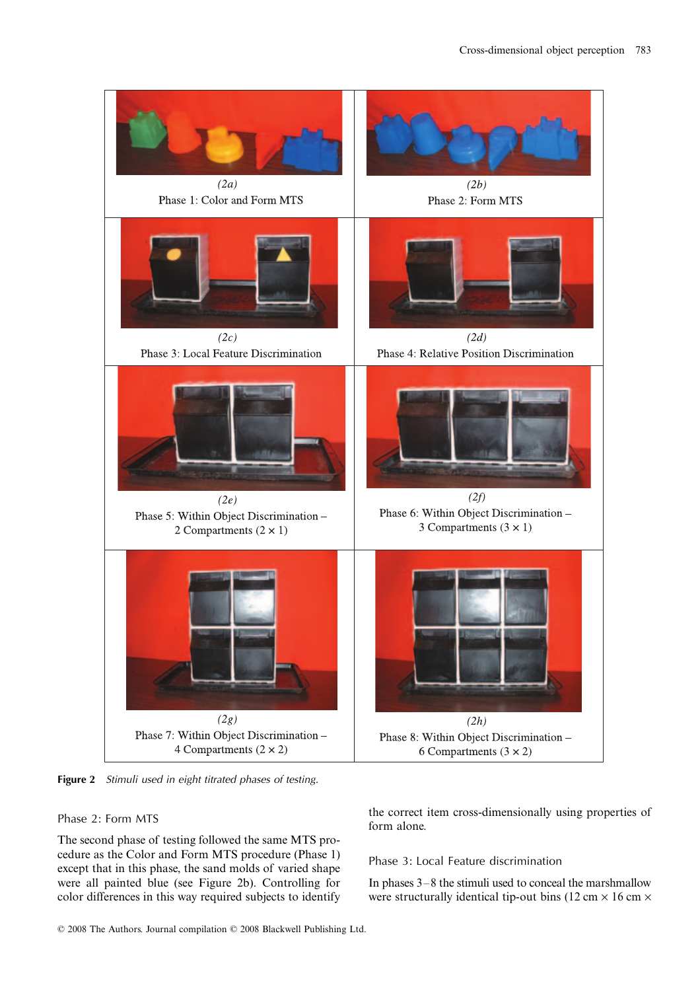

**Figure 2** *Stimuli used in eight titrated phases of testing.*

# Phase 2: Form MTS

The second phase of testing followed the same MTS procedure as the Color and Form MTS procedure (Phase 1) except that in this phase, the sand molds of varied shape were all painted blue (see Figure 2b). Controlling for color differences in this way required subjects to identify the correct item cross-dimensionally using properties of form alone.

# Phase 3: Local Feature discrimination

In phases 3–8 the stimuli used to conceal the marshmallow were structurally identical tip-out bins (12 cm  $\times$  16 cm  $\times$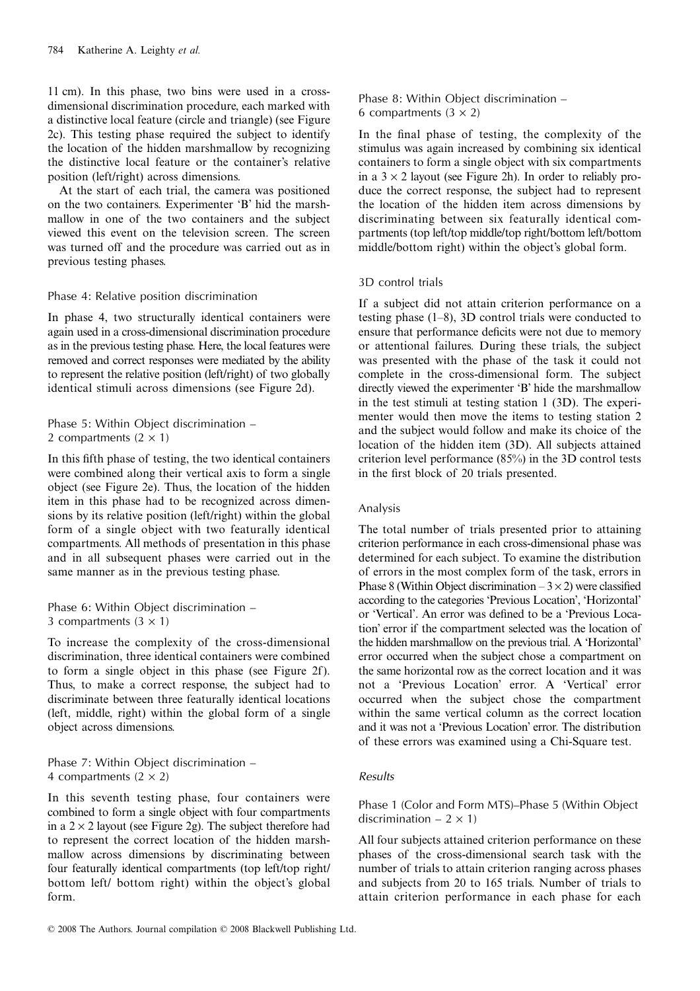11 cm). In this phase, two bins were used in a crossdimensional discrimination procedure, each marked with a distinctive local feature (circle and triangle) (see Figure 2c). This testing phase required the subject to identify the location of the hidden marshmallow by recognizing the distinctive local feature or the container's relative position (left/right) across dimensions.

At the start of each trial, the camera was positioned on the two containers. Experimenter 'B' hid the marshmallow in one of the two containers and the subject viewed this event on the television screen. The screen was turned off and the procedure was carried out as in previous testing phases.

## Phase 4: Relative position discrimination

In phase 4, two structurally identical containers were again used in a cross-dimensional discrimination procedure as in the previous testing phase. Here, the local features were removed and correct responses were mediated by the ability to represent the relative position (left/right) of two globally identical stimuli across dimensions (see Figure 2d).

Phase 5: Within Object discrimination – 2 compartments  $(2 \times 1)$ 

In this fifth phase of testing, the two identical containers were combined along their vertical axis to form a single object (see Figure 2e). Thus, the location of the hidden item in this phase had to be recognized across dimensions by its relative position (left/right) within the global form of a single object with two featurally identical compartments. All methods of presentation in this phase and in all subsequent phases were carried out in the same manner as in the previous testing phase.

Phase 6: Within Object discrimination – 3 compartments  $(3 \times 1)$ 

To increase the complexity of the cross-dimensional discrimination, three identical containers were combined to form a single object in this phase (see Figure 2f). Thus, to make a correct response, the subject had to discriminate between three featurally identical locations (left, middle, right) within the global form of a single object across dimensions.

Phase 7: Within Object discrimination – 4 compartments  $(2 \times 2)$ 

In this seventh testing phase, four containers were combined to form a single object with four compartments in a  $2 \times 2$  layout (see Figure 2g). The subject therefore had to represent the correct location of the hidden marshmallow across dimensions by discriminating between four featurally identical compartments (top left/top right/ bottom left/ bottom right) within the object's global form.

Phase 8: Within Object discrimination – 6 compartments  $(3 \times 2)$ 

In the final phase of testing, the complexity of the stimulus was again increased by combining six identical containers to form a single object with six compartments in a  $3 \times 2$  layout (see Figure 2h). In order to reliably produce the correct response, the subject had to represent the location of the hidden item across dimensions by discriminating between six featurally identical compartments (top left/top middle/top right/bottom left/bottom middle/bottom right) within the object's global form.

# 3D control trials

If a subject did not attain criterion performance on a testing phase (1–8), 3D control trials were conducted to ensure that performance deficits were not due to memory or attentional failures. During these trials, the subject was presented with the phase of the task it could not complete in the cross-dimensional form. The subject directly viewed the experimenter 'B' hide the marshmallow in the test stimuli at testing station 1 (3D). The experimenter would then move the items to testing station 2 and the subject would follow and make its choice of the location of the hidden item (3D). All subjects attained criterion level performance (85%) in the 3D control tests in the first block of 20 trials presented.

# Analysis

The total number of trials presented prior to attaining criterion performance in each cross-dimensional phase was determined for each subject. To examine the distribution of errors in the most complex form of the task, errors in Phase 8 (Within Object discrimination  $-3 \times 2$ ) were classified according to the categories 'Previous Location', 'Horizontal' or 'Vertical'. An error was defined to be a 'Previous Location' error if the compartment selected was the location of the hidden marshmallow on the previous trial. A 'Horizontal' error occurred when the subject chose a compartment on the same horizontal row as the correct location and it was not a 'Previous Location' error. A 'Vertical' error occurred when the subject chose the compartment within the same vertical column as the correct location and it was not a 'Previous Location' error. The distribution of these errors was examined using a Chi-Square test.

# *Results*

Phase 1 (Color and Form MTS)–Phase 5 (Within Object discrimination  $-2 \times 1$ )

All four subjects attained criterion performance on these phases of the cross-dimensional search task with the number of trials to attain criterion ranging across phases and subjects from 20 to 165 trials. Number of trials to attain criterion performance in each phase for each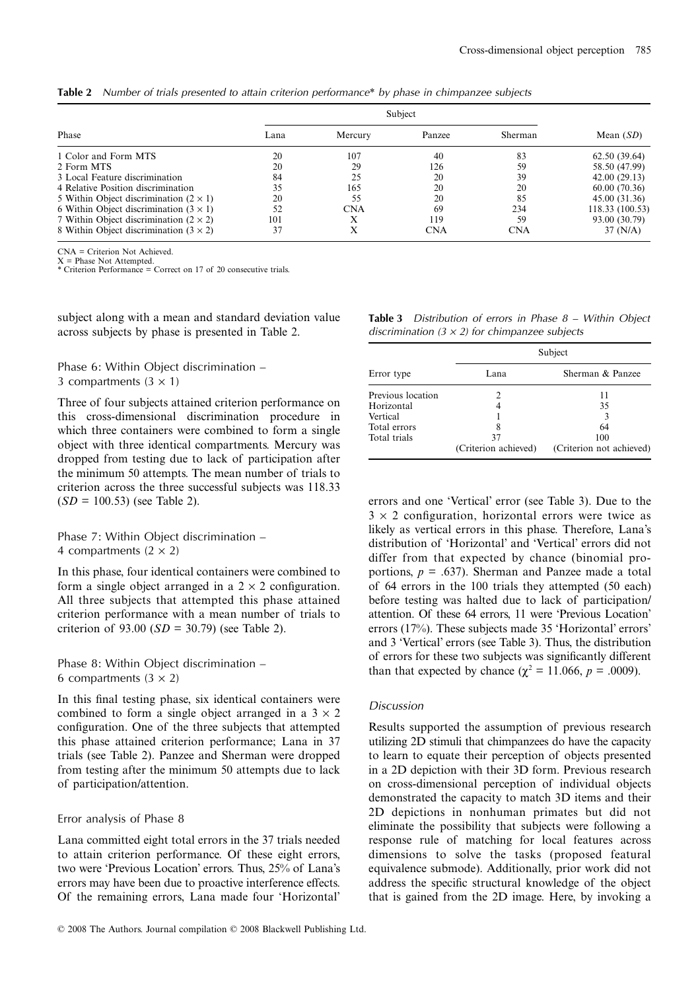|  | Table 2 Number of trials presented to attain criterion performance* by phase in chimpanzee subjects |  |  |  |  |  |  |
|--|-----------------------------------------------------------------------------------------------------|--|--|--|--|--|--|
|--|-----------------------------------------------------------------------------------------------------|--|--|--|--|--|--|

|                                                 | Subject |            |        |            |                 |
|-------------------------------------------------|---------|------------|--------|------------|-----------------|
| Phase                                           | Lana    | Mercury    | Panzee | Sherman    | Mean $(SD)$     |
| 1 Color and Form MTS                            | 20      | 107        | 40     | 83         | 62.50 (39.64)   |
| 2 Form MTS                                      | 20      | 29         | 126    | 59         | 58.50 (47.99)   |
| 3 Local Feature discrimination                  | 84      | 25         | 20     | 39         | 42.00(29.13)    |
| 4 Relative Position discrimination              | 35      | 165        | 20     | 20         | 60.00(70.36)    |
| 5 Within Object discrimination $(2 \times 1)$   | 20      | 55         | 20     | 85         | 45.00 (31.36)   |
| 6 Within Object discrimination $(3 \times 1)$   | 52      | <b>CNA</b> | 69     | 234        | 118.33 (100.53) |
| 7 Within Object discrimination ( $2 \times 2$ ) | 101     | л          | 119    | 59         | 93.00 (30.79)   |
| 8 Within Object discrimination $(3 \times 2)$   | 37      | л          | CNA    | <b>CNA</b> | 37 (N/A)        |

CNA = Criterion Not Achieved.

X = Phase Not Attempted. \* Criterion Performance = Correct on 17 of 20 consecutive trials.

subject along with a mean and standard deviation value across subjects by phase is presented in Table 2.

Phase 6: Within Object discrimination – 3 compartments  $(3 \times 1)$ 

Three of four subjects attained criterion performance on this cross-dimensional discrimination procedure in which three containers were combined to form a single object with three identical compartments. Mercury was dropped from testing due to lack of participation after the minimum 50 attempts. The mean number of trials to criterion across the three successful subjects was 118.33 (*SD* = 100.53) (see Table 2).

Phase 7: Within Object discrimination – 4 compartments  $(2 \times 2)$ 

In this phase, four identical containers were combined to form a single object arranged in a  $2 \times 2$  configuration. All three subjects that attempted this phase attained criterion performance with a mean number of trials to criterion of 93.00 (*SD* = 30.79) (see Table 2).

Phase 8: Within Object discrimination – 6 compartments  $(3 \times 2)$ 

In this final testing phase, six identical containers were combined to form a single object arranged in a  $3 \times 2$ configuration. One of the three subjects that attempted this phase attained criterion performance; Lana in 37 trials (see Table 2). Panzee and Sherman were dropped from testing after the minimum 50 attempts due to lack of participation/attention.

#### Error analysis of Phase 8

Lana committed eight total errors in the 37 trials needed to attain criterion performance. Of these eight errors, two were 'Previous Location' errors. Thus, 25% of Lana's errors may have been due to proactive interference effects. Of the remaining errors, Lana made four 'Horizontal'

| <b>Table 3</b> Distribution of errors in Phase $8 -$ Within Object |  |  |  |
|--------------------------------------------------------------------|--|--|--|
| discrimination $(3 \times 2)$ for chimpanzee subjects              |  |  |  |

|                   | Subject              |                          |  |  |
|-------------------|----------------------|--------------------------|--|--|
| Error type        | Lana                 | Sherman & Panzee         |  |  |
| Previous location |                      | 11                       |  |  |
| Horizontal        | 4                    | 35                       |  |  |
| Vertical          |                      |                          |  |  |
| Total errors      | 8                    | 64                       |  |  |
| Total trials      | 37                   | 100                      |  |  |
|                   | (Criterion achieved) | (Criterion not achieved) |  |  |

errors and one 'Vertical' error (see Table 3). Due to the  $3 \times 2$  configuration, horizontal errors were twice as likely as vertical errors in this phase. Therefore, Lana's distribution of 'Horizontal' and 'Vertical' errors did not differ from that expected by chance (binomial proportions,  $p = .637$ ). Sherman and Panzee made a total of 64 errors in the 100 trials they attempted (50 each) before testing was halted due to lack of participation/ attention. Of these 64 errors, 11 were 'Previous Location' errors (17%). These subjects made 35 'Horizontal' errors' and 3 'Vertical' errors (see Table 3). Thus, the distribution of errors for these two subjects was significantly different than that expected by chance ( $\chi^2 = 11.066$ ,  $p = .0009$ ).

#### *Discussion*

Results supported the assumption of previous research utilizing 2D stimuli that chimpanzees do have the capacity to learn to equate their perception of objects presented in a 2D depiction with their 3D form. Previous research on cross-dimensional perception of individual objects demonstrated the capacity to match 3D items and their 2D depictions in nonhuman primates but did not eliminate the possibility that subjects were following a response rule of matching for local features across dimensions to solve the tasks (proposed featural equivalence submode). Additionally, prior work did not address the specific structural knowledge of the object that is gained from the 2D image. Here, by invoking a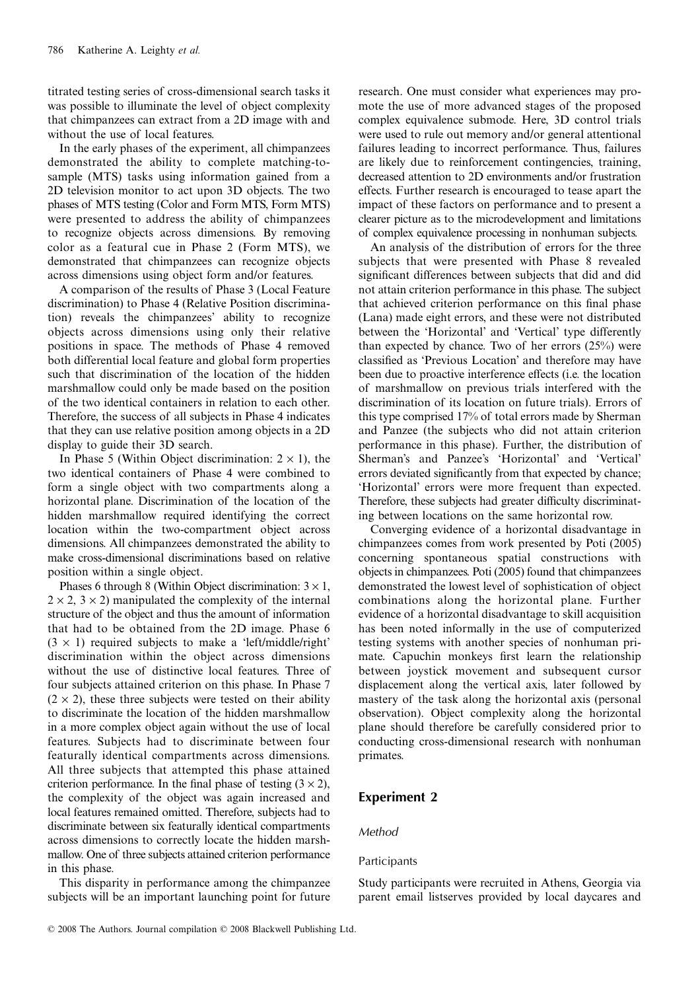titrated testing series of cross-dimensional search tasks it was possible to illuminate the level of object complexity that chimpanzees can extract from a 2D image with and without the use of local features.

In the early phases of the experiment, all chimpanzees demonstrated the ability to complete matching-tosample (MTS) tasks using information gained from a 2D television monitor to act upon 3D objects. The two phases of MTS testing (Color and Form MTS, Form MTS) were presented to address the ability of chimpanzees to recognize objects across dimensions. By removing color as a featural cue in Phase 2 (Form MTS), we demonstrated that chimpanzees can recognize objects across dimensions using object form and/or features.

A comparison of the results of Phase 3 (Local Feature discrimination) to Phase 4 (Relative Position discrimination) reveals the chimpanzees' ability to recognize objects across dimensions using only their relative positions in space. The methods of Phase 4 removed both differential local feature and global form properties such that discrimination of the location of the hidden marshmallow could only be made based on the position of the two identical containers in relation to each other. Therefore, the success of all subjects in Phase 4 indicates that they can use relative position among objects in a 2D display to guide their 3D search.

In Phase 5 (Within Object discrimination:  $2 \times 1$ ), the two identical containers of Phase 4 were combined to form a single object with two compartments along a horizontal plane. Discrimination of the location of the hidden marshmallow required identifying the correct location within the two-compartment object across dimensions. All chimpanzees demonstrated the ability to make cross-dimensional discriminations based on relative position within a single object.

Phases 6 through 8 (Within Object discrimination:  $3 \times 1$ ,  $2 \times 2$ ,  $3 \times 2$ ) manipulated the complexity of the internal structure of the object and thus the amount of information that had to be obtained from the 2D image. Phase 6  $(3 \times 1)$  required subjects to make a 'left/middle/right' discrimination within the object across dimensions without the use of distinctive local features. Three of four subjects attained criterion on this phase. In Phase 7  $(2 \times 2)$ , these three subjects were tested on their ability to discriminate the location of the hidden marshmallow in a more complex object again without the use of local features. Subjects had to discriminate between four featurally identical compartments across dimensions. All three subjects that attempted this phase attained criterion performance. In the final phase of testing  $(3 \times 2)$ , the complexity of the object was again increased and local features remained omitted. Therefore, subjects had to discriminate between six featurally identical compartments across dimensions to correctly locate the hidden marshmallow. One of three subjects attained criterion performance in this phase.

This disparity in performance among the chimpanzee subjects will be an important launching point for future

research. One must consider what experiences may promote the use of more advanced stages of the proposed complex equivalence submode. Here, 3D control trials were used to rule out memory and/or general attentional failures leading to incorrect performance. Thus, failures are likely due to reinforcement contingencies, training, decreased attention to 2D environments and/or frustration effects. Further research is encouraged to tease apart the impact of these factors on performance and to present a clearer picture as to the microdevelopment and limitations of complex equivalence processing in nonhuman subjects.

An analysis of the distribution of errors for the three subjects that were presented with Phase 8 revealed significant differences between subjects that did and did not attain criterion performance in this phase. The subject that achieved criterion performance on this final phase (Lana) made eight errors, and these were not distributed between the 'Horizontal' and 'Vertical' type differently than expected by chance. Two of her errors (25%) were classified as 'Previous Location' and therefore may have been due to proactive interference effects (i.e. the location of marshmallow on previous trials interfered with the discrimination of its location on future trials). Errors of this type comprised 17% of total errors made by Sherman and Panzee (the subjects who did not attain criterion performance in this phase). Further, the distribution of Sherman's and Panzee's 'Horizontal' and 'Vertical' errors deviated significantly from that expected by chance; 'Horizontal' errors were more frequent than expected. Therefore, these subjects had greater difficulty discriminating between locations on the same horizontal row.

Converging evidence of a horizontal disadvantage in chimpanzees comes from work presented by Poti (2005) concerning spontaneous spatial constructions with objects in chimpanzees. Poti (2005) found that chimpanzees demonstrated the lowest level of sophistication of object combinations along the horizontal plane. Further evidence of a horizontal disadvantage to skill acquisition has been noted informally in the use of computerized testing systems with another species of nonhuman primate. Capuchin monkeys first learn the relationship between joystick movement and subsequent cursor displacement along the vertical axis, later followed by mastery of the task along the horizontal axis (personal observation). Object complexity along the horizontal plane should therefore be carefully considered prior to conducting cross-dimensional research with nonhuman primates.

# **Experiment 2**

# *Method*

# Participants

Study participants were recruited in Athens, Georgia via parent email listserves provided by local daycares and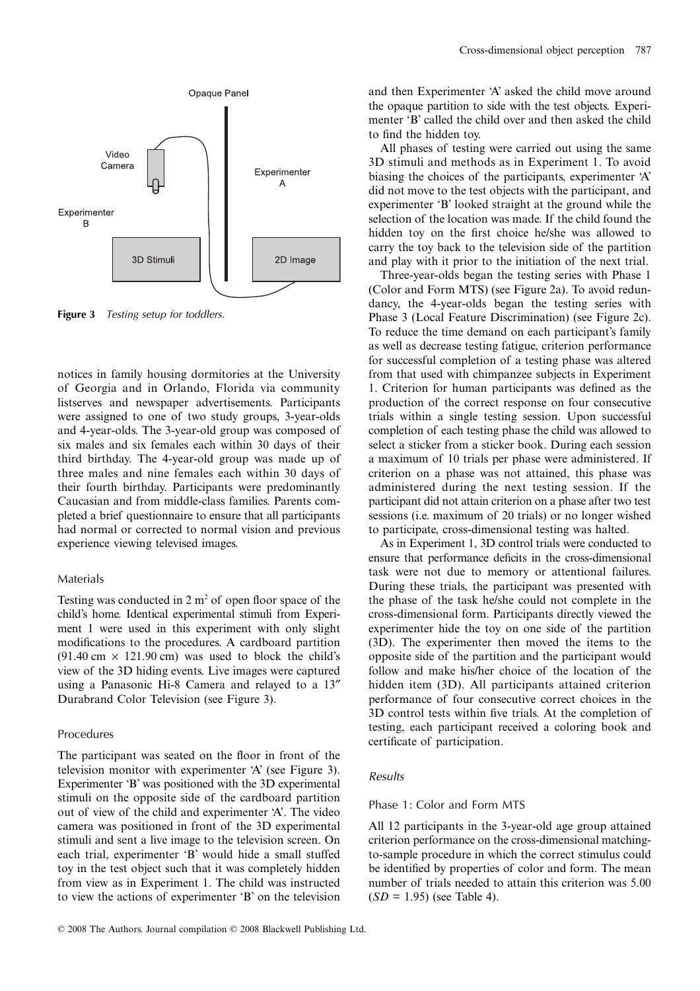

**Figure 3** *Testing setup for toddlers.*

notices in family housing dormitories at the University of Georgia and in Orlando, Florida via community listserves and newspaper advertisements. Participants were assigned to one of two study groups, 3-year-olds and 4-year-olds. The 3-year-old group was composed of six males and six females each within 30 days of their third birthday. The 4-year-old group was made up of three males and nine females each within 30 days of their fourth birthday. Participants were predominantly Caucasian and from middle-class families. Parents completed a brief questionnaire to ensure that all participants had normal or corrected to normal vision and previous experience viewing televised images.

#### Materials

Testing was conducted in  $2 \text{ m}^2$  of open floor space of the child's home. Identical experimental stimuli from Experiment 1 were used in this experiment with only slight modifications to the procedures. A cardboard partition  $(91.40 \text{ cm} \times 121.90 \text{ cm})$  was used to block the child's view of the 3D hiding events. Live images were captured using a Panasonic Hi-8 Camera and relayed to a 13″ Durabrand Color Television (see Figure 3).

#### Procedures

The participant was seated on the floor in front of the television monitor with experimenter 'A' (see Figure 3). Experimenter 'B' was positioned with the 3D experimental stimuli on the opposite side of the cardboard partition out of view of the child and experimenter 'A'. The video camera was positioned in front of the 3D experimental stimuli and sent a live image to the television screen. On each trial, experimenter 'B' would hide a small stuffed toy in the test object such that it was completely hidden from view as in Experiment 1. The child was instructed to view the actions of experimenter 'B' on the television and then Experimenter 'A' asked the child move around the opaque partition to side with the test objects. Experimenter 'B' called the child over and then asked the child to find the hidden toy.

All phases of testing were carried out using the same 3D stimuli and methods as in Experiment 1. To avoid biasing the choices of the participants, experimenter 'A' did not move to the test objects with the participant, and experimenter 'B' looked straight at the ground while the selection of the location was made. If the child found the hidden toy on the first choice he/she was allowed to carry the toy back to the television side of the partition and play with it prior to the initiation of the next trial.

Three-year-olds began the testing series with Phase 1 (Color and Form MTS) (see Figure 2a). To avoid redundancy, the 4-year-olds began the testing series with Phase 3 (Local Feature Discrimination) (see Figure 2c). To reduce the time demand on each participant's family as well as decrease testing fatigue, criterion performance for successful completion of a testing phase was altered from that used with chimpanzee subjects in Experiment 1. Criterion for human participants was defined as the production of the correct response on four consecutive trials within a single testing session. Upon successful completion of each testing phase the child was allowed to select a sticker from a sticker book. During each session a maximum of 10 trials per phase were administered. If criterion on a phase was not attained, this phase was administered during the next testing session. If the participant did not attain criterion on a phase after two test sessions (i.e. maximum of 20 trials) or no longer wished to participate, cross-dimensional testing was halted.

As in Experiment 1, 3D control trials were conducted to ensure that performance deficits in the cross-dimensional task were not due to memory or attentional failures. During these trials, the participant was presented with the phase of the task he/she could not complete in the cross-dimensional form. Participants directly viewed the experimenter hide the toy on one side of the partition (3D). The experimenter then moved the items to the opposite side of the partition and the participant would follow and make his/her choice of the location of the hidden item (3D). All participants attained criterion performance of four consecutive correct choices in the 3D control tests within five trials. At the completion of testing, each participant received a coloring book and certificate of participation.

#### *Results*

## Phase 1: Color and Form MTS

All 12 participants in the 3-year-old age group attained criterion performance on the cross-dimensional matchingto-sample procedure in which the correct stimulus could be identified by properties of color and form. The mean number of trials needed to attain this criterion was 5.00 (*SD* = 1.95) (see Table 4).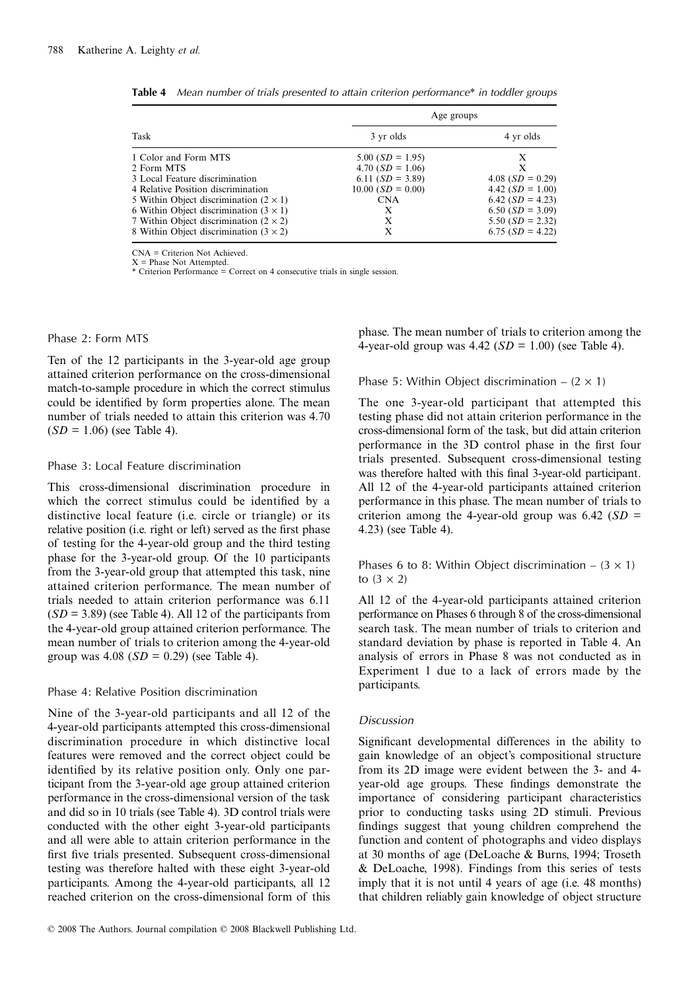|                                                 | Age groups                  |                    |
|-------------------------------------------------|-----------------------------|--------------------|
| Task                                            | 3 yr olds                   | 4 yr olds          |
| 1 Color and Form MTS                            | $5.00(SD = 1.95)$           | X                  |
| 2 Form MTS                                      | 4.70 $(SD = 1.06)$          | X                  |
| 3 Local Feature discrimination                  | 6.11 $(SD = 3.89)$          | $4.08(SD = 0.29)$  |
| 4 Relative Position discrimination              | $10.00$ ( <i>SD</i> = 0.00) | 4.42 $(SD = 1.00)$ |
| 5 Within Object discrimination $(2 \times 1)$   | <b>CNA</b>                  | $6.42(SD = 4.23)$  |
| 6 Within Object discrimination $(3 \times 1)$   | X                           | $6.50(SD = 3.09)$  |
| 7 Within Object discrimination ( $2 \times 2$ ) | X                           | 5.50 $(SD = 2.32)$ |
| 8 Within Object discrimination $(3 \times 2)$   | X                           | $6.75(SD = 4.22)$  |

**Table 4** *Mean number of trials presented to attain criterion performance\* in toddler groups*

CNA = Criterion Not Achieved.  $X =$  Phase Not Attempted.

\* Criterion Performance = Correct on 4 consecutive trials in single session.

Phase 2: Form MTS

Ten of the 12 participants in the 3-year-old age group attained criterion performance on the cross-dimensional match-to-sample procedure in which the correct stimulus could be identified by form properties alone. The mean number of trials needed to attain this criterion was 4.70 (*SD* = 1.06) (see Table 4).

#### Phase 3: Local Feature discrimination

This cross-dimensional discrimination procedure in which the correct stimulus could be identified by a distinctive local feature (i.e. circle or triangle) or its relative position (i.e. right or left) served as the first phase of testing for the 4-year-old group and the third testing phase for the 3-year-old group. Of the 10 participants from the 3-year-old group that attempted this task, nine attained criterion performance. The mean number of trials needed to attain criterion performance was 6.11  $(SD = 3.89)$  (see Table 4). All 12 of the participants from the 4-year-old group attained criterion performance. The mean number of trials to criterion among the 4-year-old group was 4.08 (*SD* = 0.29) (see Table 4).

# Phase 4: Relative Position discrimination

Nine of the 3-year-old participants and all 12 of the 4-year-old participants attempted this cross-dimensional discrimination procedure in which distinctive local features were removed and the correct object could be identified by its relative position only. Only one participant from the 3-year-old age group attained criterion performance in the cross-dimensional version of the task and did so in 10 trials (see Table 4). 3D control trials were conducted with the other eight 3-year-old participants and all were able to attain criterion performance in the first five trials presented. Subsequent cross-dimensional testing was therefore halted with these eight 3-year-old participants. Among the 4-year-old participants, all 12 reached criterion on the cross-dimensional form of this phase. The mean number of trials to criterion among the 4-year-old group was 4.42 (*SD* = 1.00) (see Table 4).

## Phase 5: Within Object discrimination  $- (2 \times 1)$

The one 3-year-old participant that attempted this testing phase did not attain criterion performance in the cross-dimensional form of the task, but did attain criterion performance in the 3D control phase in the first four trials presented. Subsequent cross-dimensional testing was therefore halted with this final 3-year-old participant. All 12 of the 4-year-old participants attained criterion performance in this phase. The mean number of trials to criterion among the 4-year-old group was  $6.42$  (*SD* = 4.23) (see Table 4).

Phases 6 to 8: Within Object discrimination –  $(3 \times 1)$ to  $(3 \times 2)$ 

All 12 of the 4-year-old participants attained criterion performance on Phases 6 through 8 of the cross-dimensional search task. The mean number of trials to criterion and standard deviation by phase is reported in Table 4. An analysis of errors in Phase 8 was not conducted as in Experiment 1 due to a lack of errors made by the participants.

# *Discussion*

Significant developmental differences in the ability to gain knowledge of an object's compositional structure from its 2D image were evident between the 3- and 4 year-old age groups. These findings demonstrate the importance of considering participant characteristics prior to conducting tasks using 2D stimuli. Previous findings suggest that young children comprehend the function and content of photographs and video displays at 30 months of age (DeLoache & Burns, 1994; Troseth & DeLoache, 1998). Findings from this series of tests imply that it is not until 4 years of age (i.e. 48 months) that children reliably gain knowledge of object structure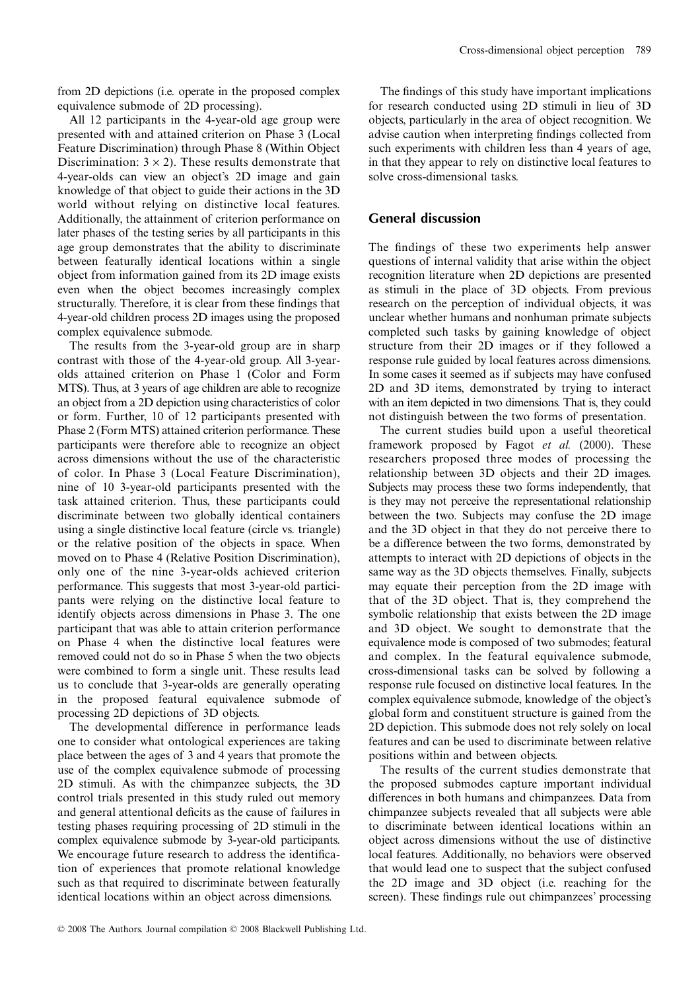from 2D depictions (i.e. operate in the proposed complex equivalence submode of 2D processing).

All 12 participants in the 4-year-old age group were presented with and attained criterion on Phase 3 (Local Feature Discrimination) through Phase 8 (Within Object Discrimination:  $3 \times 2$ ). These results demonstrate that 4-year-olds can view an object's 2D image and gain knowledge of that object to guide their actions in the 3D world without relying on distinctive local features. Additionally, the attainment of criterion performance on later phases of the testing series by all participants in this age group demonstrates that the ability to discriminate between featurally identical locations within a single object from information gained from its 2D image exists even when the object becomes increasingly complex structurally. Therefore, it is clear from these findings that 4-year-old children process 2D images using the proposed complex equivalence submode.

The results from the 3-year-old group are in sharp contrast with those of the 4-year-old group. All 3-yearolds attained criterion on Phase 1 (Color and Form MTS). Thus, at 3 years of age children are able to recognize an object from a 2D depiction using characteristics of color or form. Further, 10 of 12 participants presented with Phase 2 (Form MTS) attained criterion performance. These participants were therefore able to recognize an object across dimensions without the use of the characteristic of color. In Phase 3 (Local Feature Discrimination), nine of 10 3-year-old participants presented with the task attained criterion. Thus, these participants could discriminate between two globally identical containers using a single distinctive local feature (circle vs. triangle) or the relative position of the objects in space. When moved on to Phase 4 (Relative Position Discrimination), only one of the nine 3-year-olds achieved criterion performance. This suggests that most 3-year-old participants were relying on the distinctive local feature to identify objects across dimensions in Phase 3. The one participant that was able to attain criterion performance on Phase 4 when the distinctive local features were removed could not do so in Phase 5 when the two objects were combined to form a single unit. These results lead us to conclude that 3-year-olds are generally operating in the proposed featural equivalence submode of processing 2D depictions of 3D objects.

The developmental difference in performance leads one to consider what ontological experiences are taking place between the ages of 3 and 4 years that promote the use of the complex equivalence submode of processing 2D stimuli. As with the chimpanzee subjects, the 3D control trials presented in this study ruled out memory and general attentional deficits as the cause of failures in testing phases requiring processing of 2D stimuli in the complex equivalence submode by 3-year-old participants. We encourage future research to address the identification of experiences that promote relational knowledge such as that required to discriminate between featurally identical locations within an object across dimensions.

The findings of this study have important implications for research conducted using 2D stimuli in lieu of 3D objects, particularly in the area of object recognition. We advise caution when interpreting findings collected from such experiments with children less than 4 years of age, in that they appear to rely on distinctive local features to solve cross-dimensional tasks.

# **General discussion**

The findings of these two experiments help answer questions of internal validity that arise within the object recognition literature when 2D depictions are presented as stimuli in the place of 3D objects. From previous research on the perception of individual objects, it was unclear whether humans and nonhuman primate subjects completed such tasks by gaining knowledge of object structure from their 2D images or if they followed a response rule guided by local features across dimensions. In some cases it seemed as if subjects may have confused 2D and 3D items, demonstrated by trying to interact with an item depicted in two dimensions. That is, they could not distinguish between the two forms of presentation.

The current studies build upon a useful theoretical framework proposed by Fagot *et al.* (2000). These researchers proposed three modes of processing the relationship between 3D objects and their 2D images. Subjects may process these two forms independently, that is they may not perceive the representational relationship between the two. Subjects may confuse the 2D image and the 3D object in that they do not perceive there to be a difference between the two forms, demonstrated by attempts to interact with 2D depictions of objects in the same way as the 3D objects themselves. Finally, subjects may equate their perception from the 2D image with that of the 3D object. That is, they comprehend the symbolic relationship that exists between the 2D image and 3D object. We sought to demonstrate that the equivalence mode is composed of two submodes; featural and complex. In the featural equivalence submode, cross-dimensional tasks can be solved by following a response rule focused on distinctive local features. In the complex equivalence submode, knowledge of the object's global form and constituent structure is gained from the 2D depiction. This submode does not rely solely on local features and can be used to discriminate between relative positions within and between objects.

The results of the current studies demonstrate that the proposed submodes capture important individual differences in both humans and chimpanzees. Data from chimpanzee subjects revealed that all subjects were able to discriminate between identical locations within an object across dimensions without the use of distinctive local features. Additionally, no behaviors were observed that would lead one to suspect that the subject confused the 2D image and 3D object (i.e. reaching for the screen). These findings rule out chimpanzees' processing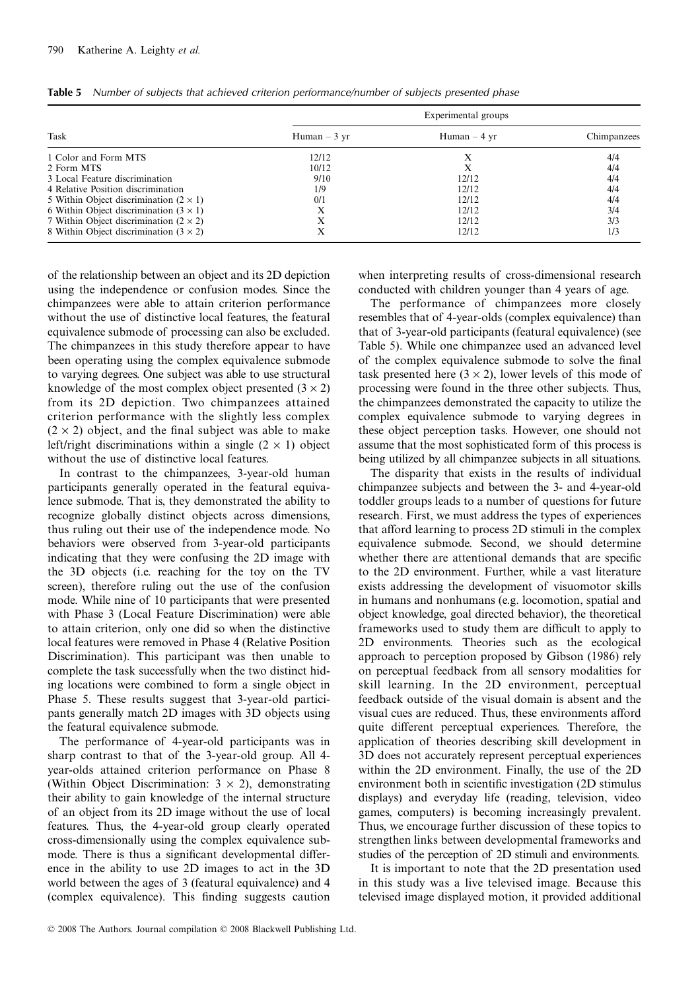|                                               | Experimental groups |                |             |  |  |
|-----------------------------------------------|---------------------|----------------|-------------|--|--|
| Task                                          | $Human - 3 yr$      | $Human - 4 yr$ | Chimpanzees |  |  |
| 1 Color and Form MTS                          | 12/12               | X              | 4/4         |  |  |
| 2 Form MTS                                    | 10/12               |                | 4/4         |  |  |
| 3 Local Feature discrimination                | 9/10                | 12/12          | 4/4         |  |  |
| 4 Relative Position discrimination            | 1/9                 | 12/12          | 4/4         |  |  |
| 5 Within Object discrimination $(2 \times 1)$ | 0/1                 | 12/12          | 4/4         |  |  |
| 6 Within Object discrimination $(3 \times 1)$ | Х                   | 12/12          | 3/4         |  |  |
| 7 Within Object discrimination $(2 \times 2)$ | Х                   | 12/12          | 3/3         |  |  |
| 8 Within Object discrimination $(3 \times 2)$ | X                   | 12/12          | 1/3         |  |  |

**Table 5** *Number of subjects that achieved criterion performance/number of subjects presented phase*

of the relationship between an object and its 2D depiction using the independence or confusion modes. Since the chimpanzees were able to attain criterion performance without the use of distinctive local features, the featural equivalence submode of processing can also be excluded. The chimpanzees in this study therefore appear to have been operating using the complex equivalence submode to varying degrees. One subject was able to use structural knowledge of the most complex object presented  $(3 \times 2)$ from its 2D depiction. Two chimpanzees attained criterion performance with the slightly less complex  $(2 \times 2)$  object, and the final subject was able to make left/right discriminations within a single  $(2 \times 1)$  object without the use of distinctive local features.

In contrast to the chimpanzees, 3-year-old human participants generally operated in the featural equivalence submode. That is, they demonstrated the ability to recognize globally distinct objects across dimensions, thus ruling out their use of the independence mode. No behaviors were observed from 3-year-old participants indicating that they were confusing the 2D image with the 3D objects (i.e. reaching for the toy on the TV screen), therefore ruling out the use of the confusion mode. While nine of 10 participants that were presented with Phase 3 (Local Feature Discrimination) were able to attain criterion, only one did so when the distinctive local features were removed in Phase 4 (Relative Position Discrimination). This participant was then unable to complete the task successfully when the two distinct hiding locations were combined to form a single object in Phase 5. These results suggest that 3-year-old participants generally match 2D images with 3D objects using the featural equivalence submode.

The performance of 4-year-old participants was in sharp contrast to that of the 3-year-old group. All 4 year-olds attained criterion performance on Phase 8 (Within Object Discrimination:  $3 \times 2$ ), demonstrating their ability to gain knowledge of the internal structure of an object from its 2D image without the use of local features. Thus, the 4-year-old group clearly operated cross-dimensionally using the complex equivalence submode. There is thus a significant developmental difference in the ability to use 2D images to act in the 3D world between the ages of 3 (featural equivalence) and 4 (complex equivalence). This finding suggests caution

when interpreting results of cross-dimensional research conducted with children younger than 4 years of age.

The performance of chimpanzees more closely resembles that of 4-year-olds (complex equivalence) than that of 3-year-old participants (featural equivalence) (see Table 5). While one chimpanzee used an advanced level of the complex equivalence submode to solve the final task presented here  $(3 \times 2)$ , lower levels of this mode of processing were found in the three other subjects. Thus, the chimpanzees demonstrated the capacity to utilize the complex equivalence submode to varying degrees in these object perception tasks. However, one should not assume that the most sophisticated form of this process is being utilized by all chimpanzee subjects in all situations.

The disparity that exists in the results of individual chimpanzee subjects and between the 3- and 4-year-old toddler groups leads to a number of questions for future research. First, we must address the types of experiences that afford learning to process 2D stimuli in the complex equivalence submode. Second, we should determine whether there are attentional demands that are specific to the 2D environment. Further, while a vast literature exists addressing the development of visuomotor skills in humans and nonhumans (e.g. locomotion, spatial and object knowledge, goal directed behavior), the theoretical frameworks used to study them are difficult to apply to 2D environments. Theories such as the ecological approach to perception proposed by Gibson (1986) rely on perceptual feedback from all sensory modalities for skill learning. In the 2D environment, perceptual feedback outside of the visual domain is absent and the visual cues are reduced. Thus, these environments afford quite different perceptual experiences. Therefore, the application of theories describing skill development in 3D does not accurately represent perceptual experiences within the 2D environment. Finally, the use of the 2D environment both in scientific investigation (2D stimulus displays) and everyday life (reading, television, video games, computers) is becoming increasingly prevalent. Thus, we encourage further discussion of these topics to strengthen links between developmental frameworks and studies of the perception of 2D stimuli and environments.

It is important to note that the 2D presentation used in this study was a live televised image. Because this televised image displayed motion, it provided additional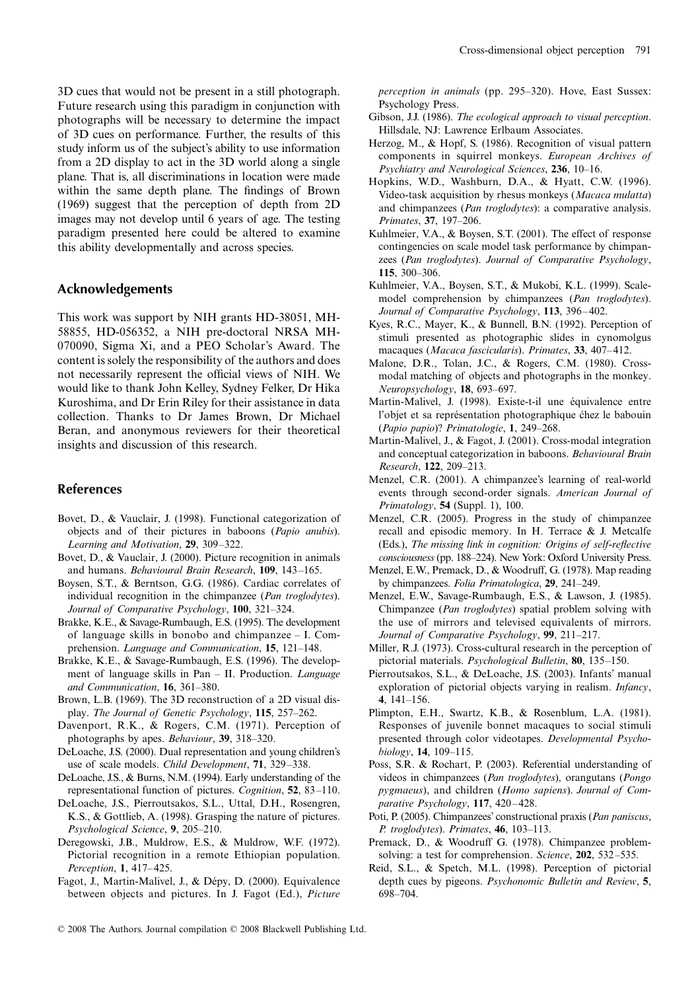3D cues that would not be present in a still photograph. Future research using this paradigm in conjunction with photographs will be necessary to determine the impact of 3D cues on performance. Further, the results of this study inform us of the subject's ability to use information from a 2D display to act in the 3D world along a single plane. That is, all discriminations in location were made within the same depth plane. The findings of Brown (1969) suggest that the perception of depth from 2D images may not develop until 6 years of age. The testing paradigm presented here could be altered to examine this ability developmentally and across species.

# **Acknowledgements**

This work was support by NIH grants HD-38051, MH-58855, HD-056352, a NIH pre-doctoral NRSA MH-070090, Sigma Xi, and a PEO Scholar's Award. The content is solely the responsibility of the authors and does not necessarily represent the official views of NIH. We would like to thank John Kelley, Sydney Felker, Dr Hika Kuroshima, and Dr Erin Riley for their assistance in data collection. Thanks to Dr James Brown, Dr Michael Beran, and anonymous reviewers for their theoretical insights and discussion of this research.

## **References**

- Bovet, D., & Vauclair, J. (1998). Functional categorization of objects and of their pictures in baboons (*Papio anubis*). *Learning and Motivation*, **29**, 309–322.
- Bovet, D., & Vauclair, J. (2000). Picture recognition in animals and humans. *Behavioural Brain Research*, **109**, 143–165.
- Boysen, S.T., & Berntson, G.G. (1986). Cardiac correlates of individual recognition in the chimpanzee (*Pan troglodytes*). *Journal of Comparative Psychology*, **100**, 321–324.
- Brakke, K.E., & Savage-Rumbaugh, E.S. (1995). The development of language skills in bonobo and chimpanzee – I. Comprehension. *Language and Communication*, **15**, 121–148.
- Brakke, K.E., & Savage-Rumbaugh, E.S. (1996). The development of language skills in Pan – II. Production. *Language and Communication*, **16**, 361–380.
- Brown, L.B. (1969). The 3D reconstruction of a 2D visual display. *The Journal of Genetic Psychology*, **115**, 257–262.
- Davenport, R.K., & Rogers, C.M. (1971). Perception of photographs by apes. *Behaviour*, **39**, 318–320.
- DeLoache, J.S. (2000). Dual representation and young children's use of scale models. *Child Development*, **71**, 329–338.
- DeLoache, J.S., & Burns, N.M. (1994). Early understanding of the representational function of pictures. *Cognition*, **52**, 83–110.
- DeLoache, J.S., Pierroutsakos, S.L., Uttal, D.H., Rosengren, K.S., & Gottlieb, A. (1998). Grasping the nature of pictures. *Psychological Science*, **9**, 205–210.
- Deregowski, J.B., Muldrow, E.S., & Muldrow, W.F. (1972). Pictorial recognition in a remote Ethiopian population. *Perception*, **1**, 417–425.
- Fagot, J., Martin-Malivel, J., & Dépy, D. (2000). Equivalence between objects and pictures. In J. Fagot (Ed.), *Picture*

*perception in animals* (pp. 295–320). Hove, East Sussex: Psychology Press.

- Gibson, J.J. (1986). *The ecological approach to visual perception*. Hillsdale, NJ: Lawrence Erlbaum Associates.
- Herzog, M., & Hopf, S. (1986). Recognition of visual pattern components in squirrel monkeys. *European Archives of Psychiatry and Neurological Sciences*, **236**, 10–16.
- Hopkins, W.D., Washburn, D.A., & Hyatt, C.W. (1996). Video-task acquisition by rhesus monkeys (*Macaca mulatta*) and chimpanzees (*Pan troglodytes*): a comparative analysis. *Primates*, **37**, 197–206.
- Kuhlmeier, V.A., & Boysen, S.T. (2001). The effect of response contingencies on scale model task performance by chimpanzees (*Pan troglodytes*). *Journal of Comparative Psychology*, **115**, 300–306.
- Kuhlmeier, V.A., Boysen, S.T., & Mukobi, K.L. (1999). Scalemodel comprehension by chimpanzees (*Pan troglodytes*). *Journal of Comparative Psychology*, **113**, 396–402.
- Kyes, R.C., Mayer, K., & Bunnell, B.N. (1992). Perception of stimuli presented as photographic slides in cynomolgus macaques (*Macaca fascicularis*). *Primates*, **33**, 407–412.
- Malone, D.R., Tolan, J.C., & Rogers, C.M. (1980). Crossmodal matching of objects and photographs in the monkey. *Neuropsychology*, **18**, 693–697.
- Martin-Malivel, J. (1998). Existe-t-il une équivalence entre l'objet et sa représentation photographique chez le babouin (*Papio papio*)? *Primatologie*, **1**, 249–268.
- Martin-Malivel, J., & Fagot, J. (2001). Cross-modal integration and conceptual categorization in baboons. *Behavioural Brain Research*, **122**, 209–213.
- Menzel, C.R. (2001). A chimpanzee's learning of real-world events through second-order signals. *American Journal of Primatology*, **54** (Suppl. 1), 100.
- Menzel, C.R. (2005). Progress in the study of chimpanzee recall and episodic memory. In H. Terrace & J. Metcalfe (Eds.), *The missing link in cognition: Origins of self-reflective consciousness* (pp. 188–224). New York: Oxford University Press.
- Menzel, E.W., Premack, D., & Woodruff, G. (1978). Map reading by chimpanzees. *Folia Primatologica*, **29**, 241–249.
- Menzel, E.W., Savage-Rumbaugh, E.S., & Lawson, J. (1985). Chimpanzee (*Pan troglodytes*) spatial problem solving with the use of mirrors and televised equivalents of mirrors. *Journal of Comparative Psychology*, **99**, 211–217.
- Miller, R.J. (1973). Cross-cultural research in the perception of pictorial materials. *Psychological Bulletin*, **80**, 135–150.
- Pierroutsakos, S.L., & DeLoache, J.S. (2003). Infants' manual exploration of pictorial objects varying in realism. *Infancy*, **4**, 141–156.
- Plimpton, E.H., Swartz, K.B., & Rosenblum, L.A. (1981). Responses of juvenile bonnet macaques to social stimuli presented through color videotapes. *Developmental Psychobiology*, **14**, 109–115.
- Poss, S.R. & Rochart, P. (2003). Referential understanding of videos in chimpanzees (*Pan troglodytes*), orangutans (*Pongo pygmaeus*), and children (*Homo sapiens*). *Journal of Comparative Psychology*, **117**, 420–428.
- Poti, P. (2005). Chimpanzees' constructional praxis (*Pan paniscus*, *P. troglodytes*). *Primates*, **46**, 103–113.
- Premack, D., & Woodruff G. (1978). Chimpanzee problemsolving: a test for comprehension. *Science*, **202**, 532–535.
- Reid, S.L., & Spetch, M.L. (1998). Perception of pictorial depth cues by pigeons. *Psychonomic Bulletin and Review*, **5**, 698–704.